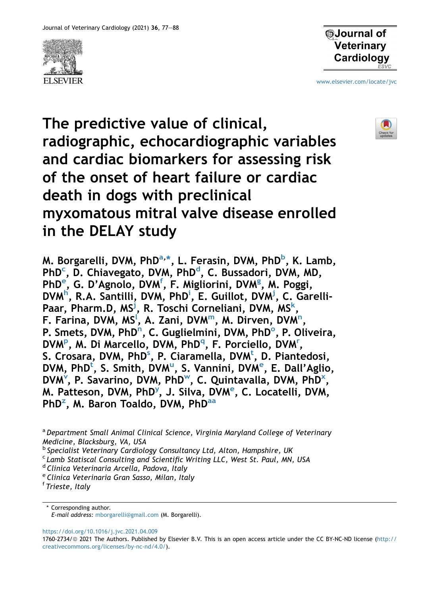



[www.elsevier.com/locate/jvc](http://www.elsevier.com/locate/jvc)



The predictive value of clinical, radiographic, echocardiographic variables and cardiac biomarkers for assessing risk of the onset of heart failure or cardiac death in dogs with preclinical myxomatous mitral valve disease enrolled in the DELAY study

M. Borgarelli, DVM, PhD<sup>a,\*</sup>, L. Ferasin, DVM, PhD<sup>[b](#page-0-2)</sup>, K. Lamb, PhD<sup>[c](#page-0-3)</sup>, D. Chiavegato, DVM, PhD<sup>[d](#page-0-4)</sup>, C. Bussadori, DVM, MD, PhD<sup>[e](#page-0-5)</sup>, G. D'Agnolo, DVM<sup>[f](#page-0-6)</sup>, F. Mi[g](#page-1-0)liorini, DVM<sup>g</sup>, M. Poggi, DVM<sup>[h](#page-1-1)</sup>, R.A. Santilli, DVM, PhD<sup>i</sup>, E. Guillot, DVM<sup>[j](#page-1-3)</sup>, C. GarelliPaar, Pharm.D, MS<sup>[j](#page-1-3)</sup>, R. Toschi Corneliani, DVM, MS<sup>[k](#page-1-4)</sup>, F. Farina, DVM, MS<sup>í</sup>, A. Zani, DVM<sup>[m](#page-1-6)</sup>, M. Dirve[n](#page-1-7), DVM<sup>n</sup>, P. Smets, DVM, PhD<sup>n</sup>, C. Guglielmini, DVM, PhD<sup>[o](#page-1-8)</sup>, P. Oliveira, DVM<su[p](#page-1-9)>P</sup>, M. Di Marcello, DVM, PhD<sup>[q](#page-1-10)</sup>, F. Po[r](#page-1-11)ciello, DVM<sup>r</sup>, S. Cro[s](#page-1-12)ara, DVM, PhD<sup>s</sup>, P. Ciaramella, DVM<sup>[t](#page-1-13)</sup>, D. Piantedosi, DVM, PhD<s[u](#page-1-14)p>t</sup>, S. Smith, DVM<sup>u</sup>, S. Vannini, DVM<sup>[e](#page-0-5)</sup>, E. Dall'Aglio, DVM<sup>[v](#page-1-15)</sup>, P. Savarino, DVM, PhD<sup>w</sup>, C. Quintavalla, DVM, PhD<sup>x</sup>, M. Patteson, DVM, PhD<sup>[y](#page-1-18)</sup>, J. Silva, DVM<sup>[e](#page-0-5)</sup>, C. Locatelli, DVM, PhD<sup>[z](#page-1-19)</sup>, M. Baron Toaldo, DVM, PhD<sup>[aa](#page-1-20)</sup>

<span id="page-0-0"></span><sup>a</sup> Department Small Animal Clinical Science, Virginia Maryland College of Veterinary Medicine, Blacksburg, VA, USA

<span id="page-0-2"></span><sup>b</sup> Specialist Veterinary Cardiology Consultancy Ltd, Alton, Hampshire, UK

<span id="page-0-3"></span><sup>c</sup> Lamb Statiscal Consulting and Scientific Writing LLC, West St. Paul, MN, USA

<span id="page-0-4"></span><sup>d</sup> Clinica Veterinaria Arcella, Padova, Italy

<span id="page-0-5"></span><sup>e</sup> Clinica Veterinaria Gran Sasso, Milan, Italy

<span id="page-0-6"></span><sup>f</sup> Trieste, Italy

<span id="page-0-1"></span>\* Corresponding author. E-mail address: [mborgarelli@gmail.com](mailto:mborgarelli@gmail.com) (M. Borgarelli).

<https://doi.org/10.1016/j.jvc.2021.04.009>

<sup>1760-2734/@ 2021</sup> The Authors. Published by Elsevier B.V. This is an open access article under the CC BY-NC-ND license ([http://](http://creativecommons.org/licenses/by-nc-nd/4.0/) [creativecommons.org/licenses/by-nc-nd/4.0/\)](http://creativecommons.org/licenses/by-nc-nd/4.0/).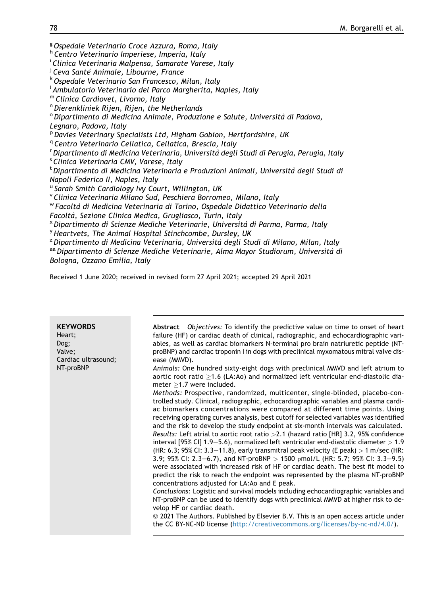<span id="page-1-10"></span><span id="page-1-9"></span><span id="page-1-8"></span><span id="page-1-7"></span><span id="page-1-6"></span><span id="page-1-5"></span><span id="page-1-4"></span><span id="page-1-3"></span><span id="page-1-2"></span><span id="page-1-1"></span><span id="page-1-0"></span><sup>g</sup> Ospedale Veterinario Croce Azzura, Roma, Italy <sup>h</sup> Centro Veterinario Imperiese, Imperia, Italy <sup>i</sup> Clinica Veterinaria Malpensa, Samarate Varese, Italy <sup>j</sup> Ceva Santé Animale, Libourne, France <sup>k</sup>Ospedale Veterinario San Francesco, Milan, Italy <sup>l</sup> Ambulatorio Veterinario del Parco Margherita, Naples, Italy  $<sup>m</sup>$  Clinica Cardiovet, Livorno, Italy<br><sup>n</sup> Dierenkliniek Rijen, Rijen, the Netherlands</sup>  $^{\circ}$  Dipartimento di Medicina Animale, Produzione e Salute, Università di Padova, Legnaro, Padova, Italy <sup>p</sup> Davies Veterinary Specialists Ltd, Higham Gobion, Hertfordshire, UK <sup>q</sup> Centro Veterinario Cellatica, Cellatica, Brescia, Italy <sup>r</sup> Dipartimento di Medicina Veterinaria, Università degli Studi di Perugia, Perugia, Italy<br><sup>s</sup> Clinica Veterinaria CMV, Varese, Italy Clinica Veterinaria CMV, Varese, Italy <sup>t</sup> Dipartimento di Medicina Veterinaria e Produzioni Animali, Università degli Studi di Napoli Federico II, Naples, Italy <sup>u</sup> Sarah Smith Cardiology Ivy Court, Willington, UK <sup>v</sup> Clinica Veterinaria Milano Sud, Peschiera Borromeo, Milano, Italy <sup>w</sup> Facolta` di Medicina Veterinaria di Torino, Ospedale Didattico Veterinario della Facoltà, Sezione Clinica Medica, Grugliasco, Turin, Italy<br><sup>x</sup> Dipartimento di Scienze Mediche Veterinarie, Università di Parma, Parma, Italy <sup>y</sup> Heartvets, The Animal Hospital Stinchcombe, Dursley, UK<br><sup>z</sup> Dipartimento di Medicina Veterinaria, Università degli Studi di Milano, Milan, Italy

<span id="page-1-20"></span><span id="page-1-19"></span><span id="page-1-18"></span><span id="page-1-17"></span><span id="page-1-16"></span><span id="page-1-15"></span><span id="page-1-14"></span><span id="page-1-13"></span><span id="page-1-12"></span><span id="page-1-11"></span>aa Dipartimento di Scienze Mediche Veterinarie, Alma Mayor Studiorum, Università di Bologna, Ozzano Emilia, Italy

Received 1 June 2020; received in revised form 27 April 2021; accepted 29 April 2021

| <b>KEYWORDS</b><br>Heart;<br>Dog;<br>Valve;<br>Cardiac ultrasound;<br>NT-proBNP | Abstract Objectives: To identify the predictive value on time to onset of heart<br>failure (HF) or cardiac death of clinical, radiographic, and echocardiographic vari-<br>ables, as well as cardiac biomarkers N-terminal pro brain natriuretic peptide (NT-<br>proBNP) and cardiac troponin I in dogs with preclinical myxomatous mitral valve dis-<br>ease (MMVD).<br>Animals: One hundred sixty-eight dogs with preclinical MMVD and left atrium to<br>aortic root ratio $\geq$ 1.6 (LA:Ao) and normalized left ventricular end-diastolic dia-<br>meter $\geq$ 1.7 were included.<br>Methods: Prospective, randomized, multicenter, single-blinded, placebo-con-<br>trolled study. Clinical, radiographic, echocardiographic variables and plasma cardi-<br>ac biomarkers concentrations were compared at different time points. Using<br>receiving operating curves analysis, best cutoff for selected variables was identified<br>and the risk to develop the study endpoint at six-month intervals was calculated.<br>Results: Left atrial to aortic root ratio > 2.1 (hazard ratio [HR] 3.2, 95% confidence<br>interval [95% CI] 1.9-5.6), normalized left ventricular end-diastolic diameter $>1.9$<br>(HR: 6.3; 95% CI: 3.3-11.8), early transmitral peak velocity (E peak) $> 1$ m/sec (HR:<br>3.9; 95% CI: 2.3–6.7), and NT-proBNP > 1500 $\beta$ mol/L (HR: 5.7; 95% CI: 3.3–9.5)<br>were associated with increased risk of HF or cardiac death. The best fit model to<br>predict the risk to reach the endpoint was represented by the plasma NT-proBNP<br>concentrations adjusted for LA:Ao and E peak.<br>Conclusions: Logistic and survival models including echocardiographic variables and<br>NT-proBNP can be used to identify dogs with preclinical MMVD at higher risk to de-<br>velop HF or cardiac death.<br>© 2021 The Authors. Published by Elsevier B.V. This is an open access article under<br>the CC BY-NC-ND license (http://creativecommons.org/licenses/by-nc-nd/4.0/). |
|---------------------------------------------------------------------------------|----------------------------------------------------------------------------------------------------------------------------------------------------------------------------------------------------------------------------------------------------------------------------------------------------------------------------------------------------------------------------------------------------------------------------------------------------------------------------------------------------------------------------------------------------------------------------------------------------------------------------------------------------------------------------------------------------------------------------------------------------------------------------------------------------------------------------------------------------------------------------------------------------------------------------------------------------------------------------------------------------------------------------------------------------------------------------------------------------------------------------------------------------------------------------------------------------------------------------------------------------------------------------------------------------------------------------------------------------------------------------------------------------------------------------------------------------------------------------------------------------------------------------------------------------------------------------------------------------------------------------------------------------------------------------------------------------------------------------------------------------------------------------------------------------------------------------------------------------------------------------------------------------------------------------------------------------------------------------------------------------------|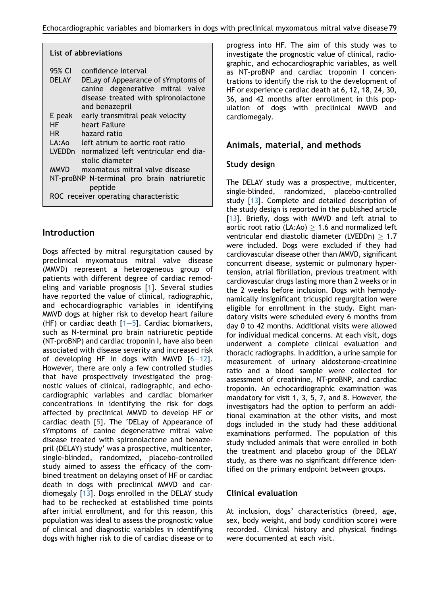|                        | List of abbreviations                                                                                                                |
|------------------------|--------------------------------------------------------------------------------------------------------------------------------------|
| 95% CI<br><b>DELAY</b> | confidence interval<br>DELay of Appearance of sYmptoms of<br>canine degenerative mitral valve<br>disease treated with spironolactone |
|                        | and benazepril                                                                                                                       |
| E peak                 | early transmitral peak velocity                                                                                                      |
| HF -                   | heart Failure                                                                                                                        |
| HR                     | hazard ratio                                                                                                                         |
| LA:Ao                  | left atrium to aortic root ratio                                                                                                     |
|                        | LVEDDn normalized left ventricular end dia-<br>stolic diameter                                                                       |
| <b>MMVD</b>            | mxomatous mitral valve disease                                                                                                       |
|                        | NT-proBNP N-terminal pro brain natriuretic<br>peptide                                                                                |
|                        | ROC receiver operating characteristic                                                                                                |

### Introduction

Dogs affected by mitral regurgitation caused by preclinical myxomatous mitral valve disease (MMVD) represent a heterogeneous group of patients with different degree of cardiac remodeling and variable prognosis [[1](#page-10-0)]. Several studies have reported the value of clinical, radiographic, and echocardiographic variables in identifying MMVD dogs at higher risk to develop heart failure (HF) or cardiac death  $[1-5]$  $[1-5]$  $[1-5]$  $[1-5]$ . Cardiac biomarkers, such as N-terminal pro brain natriuretic peptide (NT-proBNP) and cardiac troponin I, have also been associated with disease severity and increased risk of developing HF in dogs with MMVD  $[6-12]$  $[6-12]$  $[6-12]$ . However, there are only a few controlled studies that have prospectively investigated the prognostic values of clinical, radiographic, and echocardiographic variables and cardiac biomarker concentrations in identifying the risk for dogs affected by preclinical MMVD to develop HF or cardiac death [[5\]](#page-10-2). The 'DELay of Appearance of sYmptoms of canine degenerative mitral valve disease treated with spironolactone and benazepril (DELAY) study' was a prospective, multicenter, single-blinded, randomized, placebo-controlled study aimed to assess the efficacy of the combined treatment on delaying onset of HF or cardiac death in dogs with preclinical MMVD and cardiomegaly [\[13](#page-10-3)]. Dogs enrolled in the DELAY study had to be rechecked at established time points after initial enrollment, and for this reason, this population was ideal to assess the prognostic value of clinical and diagnostic variables in identifying dogs with higher risk to die of cardiac disease or to progress into HF. The aim of this study was to investigate the prognostic value of clinical, radiographic, and echocardiographic variables, as well as NT-proBNP and cardiac troponin I concentrations to identify the risk to the development of HF or experience cardiac death at 6, 12, 18, 24, 30, 36, and 42 months after enrollment in this population of dogs with preclinical MMVD and cardiomegaly.

# Animals, material, and methods

### Study design

The DELAY study was a prospective, multicenter, single-blinded, randomized, placebo-controlled study [[13](#page-10-3)]. Complete and detailed description of the study design is reported in the published article [\[13](#page-10-3)]. Briefly, dogs with MMVD and left atrial to aortic root ratio (LA:Ao)  $\geq$  1.6 and normalized left ventricular end diastolic diameter (LVEDDn)  $\geq 1.7$ were included. Dogs were excluded if they had cardiovascular disease other than MMVD, significant concurrent disease, systemic or pulmonary hypertension, atrial fibrillation, previous treatment with cardiovascular drugs lasting more than 2 weeks or in the 2 weeks before inclusion. Dogs with hemodynamically insignificant tricuspid regurgitation were eligible for enrollment in the study. Eight mandatory visits were scheduled every 6 months from day 0 to 42 months. Additional visits were allowed for individual medical concerns. At each visit, dogs underwent a complete clinical evaluation and thoracic radiographs. In addition, a urine sample for measurement of urinary aldosterone-creatinine ratio and a blood sample were collected for assessment of creatinine, NT-proBNP, and cardiac troponin. An echocardiographic examination was mandatory for visit 1, 3, 5, 7, and 8. However, the investigators had the option to perform an additional examination at the other visits, and most dogs included in the study had these additional examinations performed. The population of this study included animals that were enrolled in both the treatment and placebo group of the DELAY study, as there was no significant difference identified on the primary endpoint between groups.

## Clinical evaluation

At inclusion, dogs' characteristics (breed, age, sex, body weight, and body condition score) were recorded. Clinical history and physical findings were documented at each visit.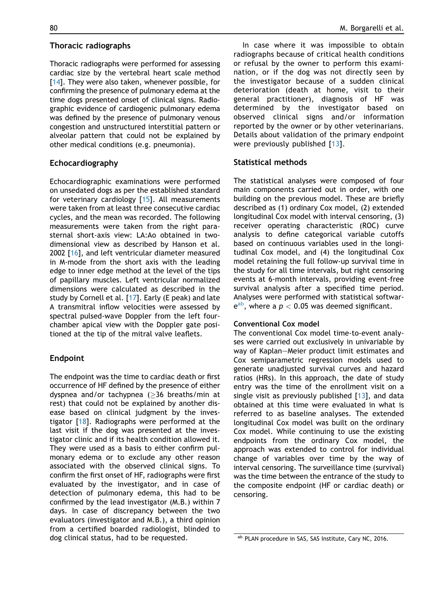#### Thoracic radiographs

Thoracic radiographs were performed for assessing cardiac size by the vertebral heart scale method [[14](#page-11-0)]. They were also taken, whenever possible, for confirming the presence of pulmonary edema at the time dogs presented onset of clinical signs. Radiographic evidence of cardiogenic pulmonary edema was defined by the presence of pulmonary venous congestion and unstructured interstitial pattern or alveolar pattern that could not be explained by other medical conditions (e.g. pneumonia).

#### Echocardiography

Echocardiographic examinations were performed on unsedated dogs as per the established standard for veterinary cardiology [\[15\]](#page-11-1). All measurements were taken from at least three consecutive cardiac cycles, and the mean was recorded. The following measurements were taken from the right parasternal short-axis view: LA:Ao obtained in twodimensional view as described by Hanson et al. 2002 [[16](#page-11-2)], and left ventricular diameter measured in M-mode from the short axis with the leading edge to inner edge method at the level of the tips of papillary muscles. Left ventricular normalized dimensions were calculated as described in the study by Cornell et al. [[17\]](#page-11-3). Early (E peak) and late A transmitral inflow velocities were assessed by spectral pulsed-wave Doppler from the left fourchamber apical view with the Doppler gate positioned at the tip of the mitral valve leaflets.

### Endpoint

The endpoint was the time to cardiac death or first occurrence of HF defined by the presence of either dyspnea and/or tachypnea ( $\geq$ 36 breaths/min at rest) that could not be explained by another disease based on clinical judgment by the investigator [[18](#page-11-4)]. Radiographs were performed at the last visit if the dog was presented at the investigator clinic and if its health condition allowed it. They were used as a basis to either confirm pulmonary edema or to exclude any other reason associated with the observed clinical signs. To confirm the first onset of HF, radiographs were first evaluated by the investigator, and in case of detection of pulmonary edema, this had to be confirmed by the lead investigator (M.B.) within 7 days. In case of discrepancy between the two evaluators (investigator and M.B.), a third opinion from a certified boarded radiologist, blinded to dog clinical status, had to be requested.

In case where it was impossible to obtain radiographs because of critical health conditions or refusal by the owner to perform this examination, or if the dog was not directly seen by the investigator because of a sudden clinical deterioration (death at home, visit to their general practitioner), diagnosis of HF was determined by the investigator based on observed clinical signs and/or information reported by the owner or by other veterinarians. Details about validation of the primary endpoint were previously published [[13\]](#page-10-3).

### Statistical methods

The statistical analyses were composed of four main components carried out in order, with one building on the previous model. These are briefly described as (1) ordinary Cox model, (2) extended longitudinal Cox model with interval censoring, (3) receiver operating characteristic (ROC) curve analysis to define categorical variable cutoffs based on continuous variables used in the longitudinal Cox model, and (4) the longitudinal Cox model retaining the full follow-up survival time in the study for all time intervals, but right censoring events at 6-month intervals, providing event-free survival analysis after a specified time period. Analyses were performed with statistical softwar $e^{ab}$  $e^{ab}$  $e^{ab}$ , where a  $p < 0.05$  was deemed significant.

#### Conventional Cox model

The conventional Cox model time-to-event analyses were carried out exclusively in univariable by way of Kaplan-Meier product limit estimates and Cox semiparametric regression models used to generate unadjusted survival curves and hazard ratios (HRs). In this approach, the date of study entry was the time of the enrollment visit on a single visit as previously published  $[13]$  $[13]$ , and data obtained at this time were evaluated in what is referred to as baseline analyses. The extended longitudinal Cox model was built on the ordinary Cox model. While continuing to use the existing endpoints from the ordinary Cox model, the approach was extended to control for individual change of variables over time by the way of interval censoring. The surveillance time (survival) was the time between the entrance of the study to the composite endpoint (HF or cardiac death) or censoring.

<span id="page-3-0"></span>ab PLAN procedure in SAS, SAS Institute, Cary NC, 2016.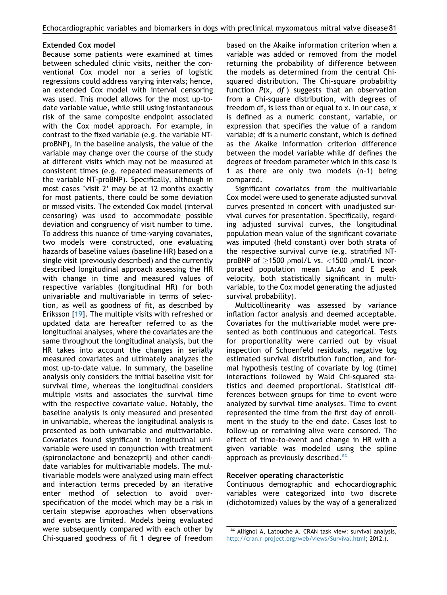#### Extended Cox model

Because some patients were examined at times between scheduled clinic visits, neither the conventional Cox model nor a series of logistic regressions could address varying intervals; hence, an extended Cox model with interval censoring was used. This model allows for the most up-todate variable value, while still using instantaneous risk of the same composite endpoint associated with the Cox model approach. For example, in contrast to the fixed variable (e.g. the variable NTproBNP), in the baseline analysis, the value of the variable may change over the course of the study at different visits which may not be measured at consistent times (e.g. repeated measurements of the variable NT-proBNP). Specifically, although in most cases 'visit 2' may be at 12 months exactly for most patients, there could be some deviation or missed visits. The extended Cox model (interval censoring) was used to accommodate possible deviation and congruency of visit number to time. To address this nuance of time-varying covariates, two models were constructed, one evaluating hazards of baseline values (baseline HR) based on a single visit (previously described) and the currently described longitudinal approach assessing the HR with change in time and measured values of respective variables (longitudinal HR) for both univariable and multivariable in terms of selection, as well as goodness of fit, as described by Eriksson [\[19\]](#page-11-5). The multiple visits with refreshed or updated data are hereafter referred to as the longitudinal analyses, where the covariates are the same throughout the longitudinal analysis, but the HR takes into account the changes in serially measured covariates and ultimately analyzes the most up-to-date value. In summary, the baseline analysis only considers the initial baseline visit for survival time, whereas the longitudinal considers multiple visits and associates the survival time with the respective covariate value. Notably, the baseline analysis is only measured and presented in univariable, whereas the longitudinal analysis is presented as both univariable and multivariable. Covariates found significant in longitudinal univariable were used in conjunction with treatment (spironolactone and benazepril) and other candidate variables for multivariable models. The multivariable models were analyzed using main effect and interaction terms preceded by an iterative enter method of selection to avoid overspecification of the model which may be a risk in certain stepwise approaches when observations and events are limited. Models being evaluated were subsequently compared with each other by Chi-squared goodness of fit 1 degree of freedom based on the Akaike information criterion when a variable was added or removed from the model returning the probability of difference between the models as determined from the central Chisquared distribution. The Chi-square probability function  $P(x, df)$  suggests that an observation from a Chi-square distribution, with degrees of freedom df, is less than or equal to x. In our case, x is defined as a numeric constant, variable, or expression that specifies the value of a random variable; df is a numeric constant, which is defined as the Akaike information criterion difference between the model variable while df defines the degrees of freedom parameter which in this case is 1 as there are only two models (n-1) being compared.

Significant covariates from the multivariable Cox model were used to generate adjusted survival curves presented in concert with unadjusted survival curves for presentation. Specifically, regarding adjusted survival curves, the longitudinal population mean value of the significant covariate was imputed (held constant) over both strata of the respective survival curve (e.g. stratified NTproBNP of  $\geq$ 1500 pmol/L vs. <1500 pmol/L incorporated population mean LA:Ao and E peak velocity, both statistically significant in multivariable, to the Cox model generating the adjusted survival probability).

Multicollinearity was assessed by variance inflation factor analysis and deemed acceptable. Covariates for the multivariable model were presented as both continuous and categorical. Tests for proportionality were carried out by visual inspection of Schoenfeld residuals, negative log estimated survival distribution function, and formal hypothesis testing of covariate by log (time) interactions followed by Wald Chi-squared statistics and deemed proportional. Statistical differences between groups for time to event were analyzed by survival time analyses. Time to event represented the time from the first day of enrollment in the study to the end date. Cases lost to follow-up or remaining alive were censored. The effect of time-to-event and change in HR with a given variable was modeled using the spline approach as previously described.[ac](#page-4-0)

#### Receiver operating characteristic

Continuous demographic and echocardiographic variables were categorized into two discrete (dichotomized) values by the way of a generalized

<span id="page-4-0"></span>ac Allignol A, Latouche A. CRAN task view: survival analysis, <http://cran.r-project.org/web/views/Survival.html>; 2012.).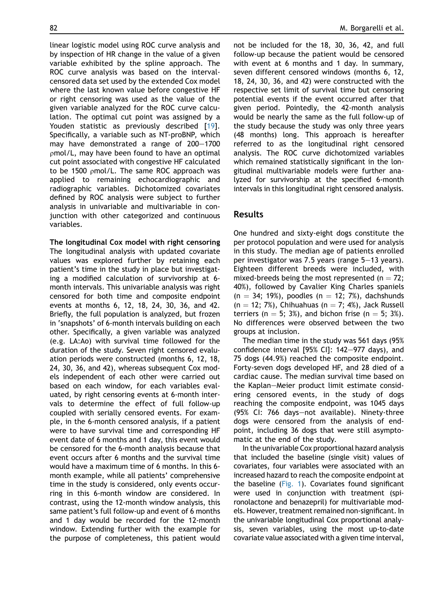linear logistic model using ROC curve analysis and by inspection of HR change in the value of a given variable exhibited by the spline approach. The ROC curve analysis was based on the intervalcensored data set used by the extended Cox model where the last known value before congestive HF or right censoring was used as the value of the given variable analyzed for the ROC curve calculation. The optimal cut point was assigned by a Youden statistic as previously described [[19](#page-11-5)]. Specifically, a variable such as NT-proBNP, which may have demonstrated a range of  $200-1700$ rmol/L, may have been found to have an optimal cut point associated with congestive HF calculated to be 1500  $\mu$ mol/L. The same ROC approach was applied to remaining echocardiographic and radiographic variables. Dichotomized covariates defined by ROC analysis were subject to further analysis in univariable and multivariable in conjunction with other categorized and continuous variables.

The longitudinal Cox model with right censoring The longitudinal analysis with updated covariate values was explored further by retaining each patient's time in the study in place but investigating a modified calculation of survivorship at 6 month intervals. This univariable analysis was right censored for both time and composite endpoint events at months 6, 12, 18, 24, 30, 36, and 42. Briefly, the full population is analyzed, but frozen in 'snapshots' of 6-month intervals building on each other. Specifically, a given variable was analyzed (e.g. LA:Ao) with survival time followed for the duration of the study. Seven right censored evaluation periods were constructed (months 6, 12, 18, 24, 30, 36, and 42), whereas subsequent Cox models independent of each other were carried out based on each window, for each variables evaluated, by right censoring events at 6-month intervals to determine the effect of full follow-up coupled with serially censored events. For example, in the 6-month censored analysis, if a patient were to have survival time and corresponding HF event date of 6 months and 1 day, this event would be censored for the 6-month analysis because that event occurs after 6 months and the survival time would have a maximum time of 6 months. In this 6 month example, while all patients' comprehensive time in the study is considered, only events occurring in this 6-month window are considered. In contrast, using the 12-month window analysis, this same patient's full follow-up and event of 6 months and 1 day would be recorded for the 12-month window. Extending further with the example for the purpose of completeness, this patient would not be included for the 18, 30, 36, 42, and full follow-up because the patient would be censored with event at 6 months and 1 day. In summary, seven different censored windows (months 6, 12, 18, 24, 30, 36, and 42) were constructed with the respective set limit of survival time but censoring potential events if the event occurred after that given period. Pointedly, the 42-month analysis would be nearly the same as the full follow-up of the study because the study was only three years (48 months) long. This approach is hereafter referred to as the longitudinal right censored analysis. The ROC curve dichotomized variables which remained statistically significant in the longitudinal multivariable models were further analyzed for survivorship at the specified 6-month intervals in this longitudinal right censored analysis.

### Results

One hundred and sixty-eight dogs constitute the per protocol population and were used for analysis in this study. The median age of patients enrolled per investigator was 7.5 years (range  $5-13$  years). Eighteen different breeds were included, with mixed-breeds being the most represented ( $n = 72$ ; 40%), followed by Cavalier King Charles spaniels  $(n = 34; 19%)$ , poodles  $(n = 12; 7%)$ , dachshunds  $(n = 12; 7\%)$ , Chihuahuas (n  $= 7; 4\%)$ , Jack Russell terriers (n = 5; 3%), and bichon frise (n = 5; 3%). No differences were observed between the two groups at inclusion.

The median time in the study was 561 days (95% confidence interval [95% CI]:  $142-977$  days), and 75 dogs (44.9%) reached the composite endpoint. Forty-seven dogs developed HF, and 28 died of a cardiac cause. The median survival time based on the Kaplan-Meier product limit estimate considering censored events, in the study of dogs reaching the composite endpoint, was 1045 days (95% CI: 766 days-not available). Ninety-three dogs were censored from the analysis of endpoint, including 36 dogs that were still asymptomatic at the end of the study.

In the univariable Cox proportional hazard analysis that included the baseline (single visit) values of covariates, four variables were associated with an increased hazard to reach the composite endpoint at the baseline [\(Fig. 1\)](#page-6-0). Covariates found significant were used in conjunction with treatment (spironolactone and benazepril) for multivariable models. However, treatment remained non-significant. In the univariable longitudinal Cox proportional analysis, seven variables, using the most up-to-date covariate value associated with a given time interval,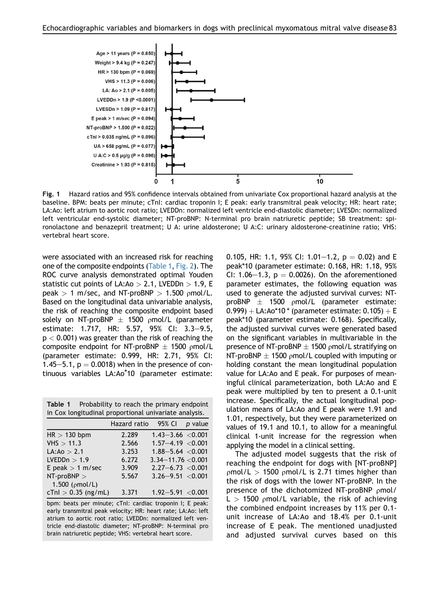<span id="page-6-0"></span>

Fig. 1 Hazard ratios and 95% confidence intervals obtained from univariate Cox proportional hazard analysis at the baseline. BPM: beats per minute; cTnI: cardiac troponin I; E peak: early transmitral peak velocity; HR: heart rate; LA:Ao: left atrium to aortic root ratio; LVEDDn: normalized left ventricle end-diastolic diameter; LVESDn: normalized left ventricular end-systolic diameter; NT-proBNP: N-terminal pro brain natriuretic peptide; SB treatment: spironolactone and benazepril treatment; U A: urine aldosterone; U A:C: urinary aldosterone-creatinine ratio; VHS: vertebral heart score.

were associated with an increased risk for reaching one of the composite endpoints [\(Table 1](#page-6-1), [Fig. 2](#page-7-0)). The ROC curve analysis demonstrated optimal Youden statistic cut points of LA:Ao  $>$  2.1, LVEDDn  $>$  1.9, E peak  $> 1$  m/sec, and NT-proBNP  $> 1.500$  pmol/L. Based on the longitudinal data univariable analysis, the risk of reaching the composite endpoint based solely on NT-proBNP  $\pm$  1500 pmol/L (parameter estimate: 1.717, HR: 5.57, 95% CI: 3.3-9.5,  $p < 0.001$ ) was greater than the risk of reaching the composite endpoint for NT-proBNP  $\pm$  1500 pmol/L (parameter estimate: 0.999, HR: 2.71, 95% CI: 1.45 $-5.1$ , p  $= 0.0018$ ) when in the presence of continuous variables LA:Ao\*10 (parameter estimate:

<span id="page-6-1"></span>Table 1 Probability to reach the primary endpoint in Cox longitudinal proportional univariate analysis.

|                                | p value                                                                                                                                                                                             |
|--------------------------------|-----------------------------------------------------------------------------------------------------------------------------------------------------------------------------------------------------|
| 2.289                          |                                                                                                                                                                                                     |
| 2.566                          |                                                                                                                                                                                                     |
| 3.253                          |                                                                                                                                                                                                     |
| 6.272                          |                                                                                                                                                                                                     |
| 3.909                          |                                                                                                                                                                                                     |
| 5.567                          |                                                                                                                                                                                                     |
|                                |                                                                                                                                                                                                     |
| $cTnl > 0.35$ (ng/mL)<br>3.371 |                                                                                                                                                                                                     |
|                                | Hazard ratio 95% CI<br>$1.43 - 3.66$ < 0.001<br>$1.57 - 4.19 < 0.001$<br>$1.88 - 5.64 < 0.001$<br>$3.34 - 11.76 < 0.001$<br>$2.27 - 6.73 < 0.001$<br>$3.26 - 9.51 < 0.001$<br>$1.92 - 5.91 < 0.001$ |

bpm: beats per minute; cTnI: cardiac troponin I; E peak: early transmitral peak velocity; HR: heart rate; LA:Ao: left atrium to aortic root ratio; LVEDDn: normalized left ventricle end-diastolic diameter; NT-proBNP: N-terminal pro brain natriuretic peptide; VHS: vertebral heart score.

0.105, HR: 1.1, 95% CI: 1.01–1.2,  $p = 0.02$ ) and E peak\*10 (parameter estimate: 0.168, HR: 1.18, 95% CI: 1.06-1.3,  $p = 0.0026$ ). On the aforementioned parameter estimates, the following equation was used to generate the adjusted survival curves: NTproBNP  $\pm$  1500 pmol/L (parameter estimate: 0.999) + LA:Ao\*10 \* (parameter estimate: 0.105) + E peak\*10 (parameter estimate: 0.168). Specifically, the adjusted survival curves were generated based on the significant variables in multivariable in the presence of NT-proBNP  $\pm$  1500 pmol/L stratifying on NT-proBNP  $\pm$  1500 pmol/L coupled with imputing or holding constant the mean longitudinal population value for LA:Ao and E peak. For purposes of meaningful clinical parameterization, both LA:Ao and E peak were multiplied by ten to present a 0.1-unit increase. Specifically, the actual longitudinal population means of LA:Ao and E peak were 1.91 and 1.01, respectively, but they were parameterized on values of 19.1 and 10.1, to allow for a meaningful clinical 1-unit increase for the regression when applying the model in a clinical setting.

The adjusted model suggests that the risk of reaching the endpoint for dogs with [NT-proBNP]  $pmol/L > 1500$   $pmol/L$  is 2.71 times higher than the risk of dogs with the lower NT-proBNP. In the presence of the dichotomized NT-proBNP  $\rho$ mol/  $L > 1500$  pmol/L variable, the risk of achieving the combined endpoint increases by 11% per 0.1 unit increase of LA:Ao and 18.4% per 0.1-unit increase of E peak. The mentioned unadjusted and adjusted survival curves based on this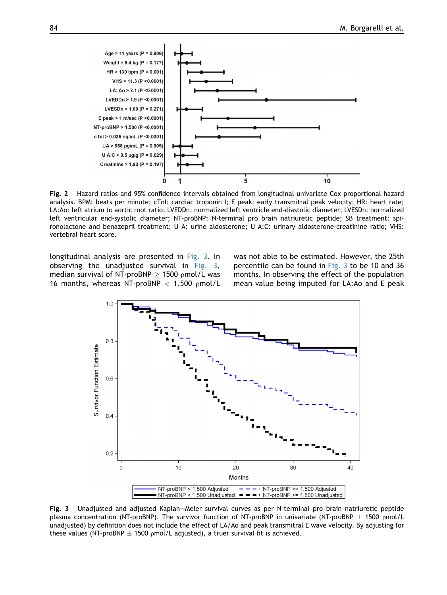<span id="page-7-0"></span>

Fig. 2 Hazard ratios and 95% confidence intervals obtained from longitudinal univariate Cox proportional hazard analysis. BPM: beats per minute; cTnI: cardiac troponin I; E peak: early transmitral peak velocity; HR: heart rate; LA:Ao: left atrium to aortic root ratio; LVEDDn: normalized left ventricle end-diastolic diameter; LVESDn: normalized left ventricular end-systolic diameter; NT-proBNP: N-terminal pro brain natriuretic peptide; SB treatment: spironolactone and benazepril treatment; U A: urine aldosterone; U A:C: urinary aldosterone-creatinine ratio; VHS: vertebral heart score.

<span id="page-7-1"></span>longitudinal analysis are presented in [Fig. 3.](#page-7-1) In observing the unadjusted survival in [Fig. 3,](#page-7-1) median survival of NT-proBNP  $\geq$  1500 pmol/L was 16 months, whereas NT-proBNP  $<$  1.500 pmol/L was not able to be estimated. However, the 25th percentile can be found in [Fig. 3](#page-7-1) to be 10 and 36 months. In observing the effect of the population mean value being imputed for LA:Ao and E peak



Fig. 3 Unadjusted and adjusted Kaplan–Meier survival curves as per N-terminal pro brain natriuretic peptide plasma concentration (NT-proBNP). The survivor function of NT-proBNP in univariate (NT-proBNP  $\pm$  1500 pmol/L unadjusted) by definition does not include the effect of LA/Ao and peak transmitral E wave velocity. By adjusting for these values (NT-proBNP  $\pm$  1500 pmol/L adjusted), a truer survival fit is achieved.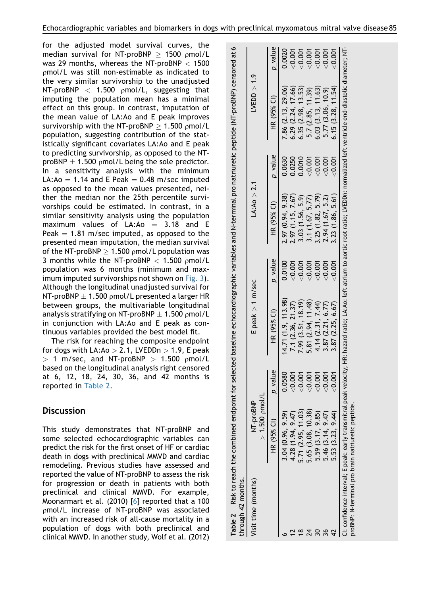for the adjusted model survival curves, the median survival for NT-proBNP  $\geq$  1500 pmol/L was 29 months, whereas the NT-proBNP  $<$  1500 pmol/L was still non-estimable as indicated to the very similar survivorship to the unadjusted NT-proBNP  $<$  1.500 pmol/L, suggesting that imputing the population mean has a minimal effect on this group. In contrast, imputation of the mean value of LA:Ao and E peak improves survivorship with the NT-proBNP  $\geq 1.500$  pmol/L population, suggesting contribution of the statistically significant covariates LA:Ao and E peak to predicting survivorship, as opposed to the NTproBNP  $\pm$  1.500 pmol/L being the sole predictor. In a sensitivity analysis with the minimum LA: $Ao = 1.14$  and E Peak  $= 0.48$  m/sec imputed as opposed to the mean values presented, neither the median nor the 25th percentile survivorships could be estimated. In contrast, in a similar sensitivity analysis using the population maximum values of  $LA:Ao = 3.18$  and E Peak  $= 1.81$  m/sec imputed, as opposed to the presented mean imputation, the median survival of the NT-proBNP  $> 1.500$  pmol/L population was 3 months while the NT-proBNP  $<$  1.500 pmol/L population was 6 months (minimum and maximum imputed survivorships not shown on [Fig. 3\)](#page-7-1). Although the longitudinal unadjusted survival for NT-proBNP  $\pm$  1.500 pmol/L presented a larger HR between groups, the multivariable longitudinal analysis stratifying on NT-proBNP  $\pm$  1.500 pmol/L in conjunction with LA:Ao and E peak as continuous variables provided the best model fit.

The risk for reaching the composite endpoint for dogs with  $LA:Ao > 2.1$ , LVEDDn  $> 1.9$ , E peak  $> 1$  m/sec, and NT-proBNP  $> 1.500$  pmol/L based on the longitudinal analysis right censored at 6, 12, 18, 24, 30, 36, and 42 months is reported in [Table 2](#page-8-0).

### **Discussion**

This study demonstrates that NT-proBNP and some selected echocardiographic variables can predict the risk for the first onset of HF or cardiac death in dogs with preclinical MMVD and cardiac remodeling. Previous studies have assessed and reported the value of NT-proBNP to assess the risk for progression or death in patients with both preclinical and clinical MMVD. For example, Moonarmart et al. (2010) [[6\]](#page-10-1) reported that a 100 pmol/L increase of NT-proBNP was associated with an increased risk of all-cause mortality in a population of dogs with both preclinical and clinical MMVD. In another study, Wolf et al. (2012)

<span id="page-8-0"></span>

| through 42 months.  |                                                   |                |                                                                                                                                                                                           |         |                   |            |                                                            |            |
|---------------------|---------------------------------------------------|----------------|-------------------------------------------------------------------------------------------------------------------------------------------------------------------------------------------|---------|-------------------|------------|------------------------------------------------------------|------------|
| Visit time (months) | $> 1.500$ pmol/L<br>NT-proBNP                     |                | $E$ peak $> 1$ m/sec                                                                                                                                                                      |         | Li(4.40) > 2.1    |            | LYEDD > 1.9                                                |            |
|                     | HR (95% CI)                                       | p_value        | HR (95% CI)                                                                                                                                                                               | p_value | HR (95% CI)       | $p$ _value | HR (95% CI)                                                | $p$ _value |
|                     | 3.04(0.96, 9.59)                                  | 0.0580         | (4.71(1.9, 113.98))                                                                                                                                                                       | 0.0100  | 2.97 (0.94, 9.38) | 0.0630     | 7.86 (2.13, 29.06)                                         | 0.0020     |
|                     | 4.28 (1.94, 9.47)                                 | $\overline{8}$ | 7.1 (2.36, 21.37)                                                                                                                                                                         | < 0.001 | 2.97(1.15, 7.67)  | 0.0250     |                                                            | 0.007      |
|                     | 5.71 (2.95, 11.03)                                | $\overline{8}$ | 7.99(3.51, 18.19)                                                                                                                                                                         | < 0.001 | 3.03 (1.56, 5.9)  | 0.0010     | $6.29$ ( $2.24$ , $17.66$ )<br>$6.35$ ( $2.98$ , $13.53$ ) | 0.007      |
|                     | 5.65 (3.08, 10.38)                                | $\overline{S}$ | 5.81 (2.94, 11.48)                                                                                                                                                                        | < 0.001 | 3.1(1.67, 5.77)   | < 0.001    | 5.7 (2.85, 11.39)                                          | 0.007      |
|                     | 5.59(3.17, 9.85)                                  | < 0.001        | 4.14 (2.31, 7.44)                                                                                                                                                                         | < 0.001 | 3.25(1.82, 5.79)  | < 0.001    | 6.03 (3.13, 11.63)                                         | < 0.001    |
|                     | 5.46 (3.14, 9.47)                                 | $\overline{8}$ | 3.87 (2.21, 6.77)                                                                                                                                                                         | < 0.001 | 2.94 (1.67, 5.2)  | < 0.001    | 5.77 (3.06, 10.9)                                          | < 0.001    |
|                     | 5.53 (3.23, 9.44)                                 | δ              | 3.87(2.25, 6.67)                                                                                                                                                                          | < 0.001 | 3.23 (1.86, 5.61) | < 0.001    | 6.15(3.28, 11.54)                                          | < 0.001    |
|                     | proBNP: N-terminal pro brain natriuretic peptide. |                | l: confidence interval; E peak: early transmitral peak velocity; HR: hazard ratio; LA:Ao: left atrium to aortic root ratio; LVEDDn: normalized left ventricle end-diastolic diameter; NT- |         |                   |            |                                                            |            |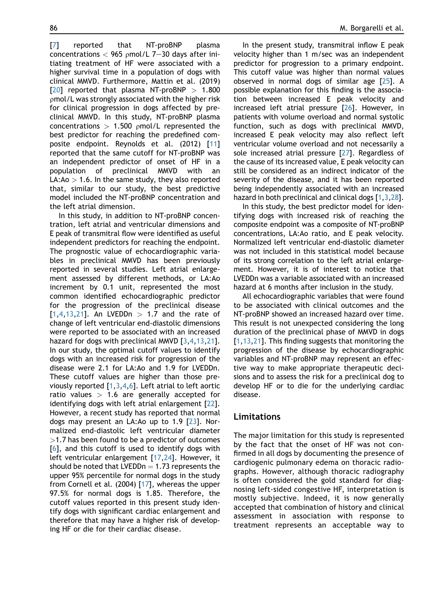[[7](#page-10-4)] reported that NT-proBNP plasma concentrations  $<$  965 pmol/L 7-30 days after initiating treatment of HF were associated with a higher survival time in a population of dogs with clinical MMVD. Furthermore, Mattin et al. (2019) [[20](#page-11-6)] reported that plasma NT-proBNP  $> 1.800$ rmol/L was strongly associated with the higher risk for clinical progression in dogs affected by preclinical MMVD. In this study, NT-proBNP plasma concentrations  $> 1.500$  pmol/L represented the best predictor for reaching the predefined composite endpoint. Reynolds et al. (2012) [\[11\]](#page-10-5) reported that the same cutoff for NT-proBNP was an independent predictor of onset of HF in a population of preclinical MMVD with an  $LA:Ao > 1.6$ . In the same study, they also reported that, similar to our study, the best predictive model included the NT-proBNP concentration and the left atrial dimension.

In this study, in addition to NT-proBNP concentration, left atrial and ventricular dimensions and E peak of transmitral flow were identified as useful independent predictors for reaching the endpoint. The prognostic value of echocardiographic variables in preclinical MMVD has been previously reported in several studies. Left atrial enlargement assessed by different methods, or LA:Ao increment by 0.1 unit, represented the most common identified echocardiographic predictor for the progression of the preclinical disease  $[1,4,13,21]$  $[1,4,13,21]$  $[1,4,13,21]$  $[1,4,13,21]$  $[1,4,13,21]$  $[1,4,13,21]$  $[1,4,13,21]$  $[1,4,13,21]$  $[1,4,13,21]$ . An LVEDDn > 1.7 and the rate of change of left ventricular end-diastolic dimensions were reported to be associated with an increased hazard for dogs with preclinical MMVD [\[3](#page-10-7),[4](#page-10-6),[13](#page-10-3),[21](#page-11-7)]. In our study, the optimal cutoff values to identify dogs with an increased risk for progression of the disease were 2.1 for LA:Ao and 1.9 for LVEDDn. These cutoff values are higher than those previously reported [[1,](#page-10-0)[3](#page-10-7)[,4,](#page-10-6)[6](#page-10-1)]. Left atrial to left aortic ratio values  $> 1.6$  are generally accepted for identifying dogs with left atrial enlargement [[22](#page-11-8)]. However, a recent study has reported that normal dogs may present an LA:Ao up to 1.9 [[23](#page-11-9)]. Normalized end-diastolic left ventricular diameter  $>$ 1.7 has been found to be a predictor of outcomes [[6](#page-10-1)], and this cutoff is used to identify dogs with left ventricular enlargement [\[17,](#page-11-3)[24\]](#page-11-10). However, it should be noted that LVEDDn  $= 1.73$  represents the upper 95% percentile for normal dogs in the study from Cornell et al. (2004) [\[17\]](#page-11-3), whereas the upper 97.5% for normal dogs is 1.85. Therefore, the cutoff values reported in this present study identify dogs with significant cardiac enlargement and therefore that may have a higher risk of developing HF or die for their cardiac disease.

In the present study, transmitral inflow E peak velocity higher than 1 m/sec was an independent predictor for progression to a primary endpoint. This cutoff value was higher than normal values observed in normal dogs of similar age [\[25\]](#page-11-11). A possible explanation for this finding is the association between increased E peak velocity and increased left atrial pressure [\[26](#page-11-12)]. However, in patients with volume overload and normal systolic function, such as dogs with preclinical MMVD, increased E peak velocity may also reflect left ventricular volume overload and not necessarily a sole increased atrial pressure [[27\]](#page-11-13). Regardless of the cause of its increased value, E peak velocity can still be considered as an indirect indicator of the severity of the disease, and it has been reported being independently associated with an increased hazard in both preclinical and clinical dogs [[1](#page-10-0)[,3,](#page-10-7)[28](#page-11-14)].

In this study, the best predictor model for identifying dogs with increased risk of reaching the composite endpoint was a composite of NT-proBNP concentrations, LA:Ao ratio, and E peak velocity. Normalized left ventricular end-diastolic diameter was not included in this statistical model because of its strong correlation to the left atrial enlargement. However, it is of interest to notice that LVEDDn was a variable associated with an increased hazard at 6 months after inclusion in the study.

All echocardiographic variables that were found to be associated with clinical outcomes and the NT-proBNP showed an increased hazard over time. This result is not unexpected considering the long duration of the preclinical phase of MMVD in dogs [\[1](#page-10-0),[13](#page-10-3),[21](#page-11-7)]. This finding suggests that monitoring the progression of the disease by echocardiographic variables and NT-proBNP may represent an effective way to make appropriate therapeutic decisions and to assess the risk for a preclinical dog to develop HF or to die for the underlying cardiac disease.

#### Limitations

The major limitation for this study is represented by the fact that the onset of HF was not confirmed in all dogs by documenting the presence of cardiogenic pulmonary edema on thoracic radiographs. However, although thoracic radiography is often considered the gold standard for diagnosing left-sided congestive HF, interpretation is mostly subjective. Indeed, it is now generally accepted that combination of history and clinical assessment in association with response to treatment represents an acceptable way to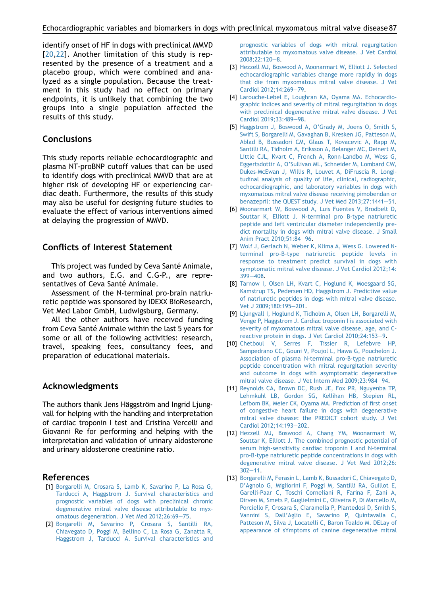identify onset of HF in dogs with preclinical MMVD [\[20](#page-11-6),[22\]](#page-11-8). Another limitation of this study is represented by the presence of a treatment and a placebo group, which were combined and analyzed as a single population. Because the treatment in this study had no effect on primary endpoints, it is unlikely that combining the two groups into a single population affected the results of this study.

### **Conclusions**

This study reports reliable echocardiographic and plasma NT-proBNP cutoff values that can be used to identify dogs with preclinical MMVD that are at higher risk of developing HF or experiencing cardiac death. Furthermore, the results of this study may also be useful for designing future studies to evaluate the effect of various interventions aimed at delaying the progression of MMVD.

### Conflicts of Interest Statement

This project was funded by Ceva Santé Animale, and two authors, E.G. and C.G-P., are representatives of Ceva Santé Animale.

Assessment of the N-terminal pro-brain natriuretic peptide was sponsored by IDEXX BioResearch, Vet Med Labor GmbH, Ludwigsburg, Germany.

All the other authors have received funding from Ceva Santé Animale within the last 5 years for some or all of the following activities: research, travel, speaking fees, consultancy fees, and preparation of educational materials.

### Acknowledgments

The authors thank Jens Häggström and Ingrid Ljungvall for helping with the handling and interpretation of cardiac troponin I test and Cristina Vercelli and Giovanni Re for performing and helping with the interpretation and validation of urinary aldosterone and urinary aldosterone creatinine ratio.

#### <span id="page-10-0"></span>References

- [1] [Borgarelli M, Crosara S, Lamb K, Savarino P, La Rosa G,](http://refhub.elsevier.com/S1760-2734(21)00053-9/sref1) [Tarducci A, Haggstrom J. Survival characteristics and](http://refhub.elsevier.com/S1760-2734(21)00053-9/sref1) [prognostic variables of dogs with preclinical chronic](http://refhub.elsevier.com/S1760-2734(21)00053-9/sref1) [degenerative mitral valve disease attributable to myx](http://refhub.elsevier.com/S1760-2734(21)00053-9/sref1)[omatous degeneration. J Vet Med 2012;26:69](http://refhub.elsevier.com/S1760-2734(21)00053-9/sref1)-[75](http://refhub.elsevier.com/S1760-2734(21)00053-9/sref1).
- [2] [Borgarelli M, Savarino P, Crosara S, Santilli RA,](http://refhub.elsevier.com/S1760-2734(21)00053-9/sref2) [Chiavegato D, Poggi M, Bellino C, La Rosa G, Zanatta R,](http://refhub.elsevier.com/S1760-2734(21)00053-9/sref2) [Haggstrom J, Tarducci A. Survival characteristics and](http://refhub.elsevier.com/S1760-2734(21)00053-9/sref2)

[prognostic variables of dogs with mitral regurgitation](http://refhub.elsevier.com/S1760-2734(21)00053-9/sref2) [attributable to myxomatous valve disease. J Vet Cardiol](http://refhub.elsevier.com/S1760-2734(21)00053-9/sref2) [2008;22:120](http://refhub.elsevier.com/S1760-2734(21)00053-9/sref2)-[8.](http://refhub.elsevier.com/S1760-2734(21)00053-9/sref2)

- <span id="page-10-7"></span>[3] [Hezzell MJ, Boswood A, Moonarmart W, Elliott J. Selected](http://refhub.elsevier.com/S1760-2734(21)00053-9/sref3) [echocardiographic variables change more rapidly in dogs](http://refhub.elsevier.com/S1760-2734(21)00053-9/sref3) [that die from myxomatous mitral valve disease. J Vet](http://refhub.elsevier.com/S1760-2734(21)00053-9/sref3) [Cardiol 2012;14:269](http://refhub.elsevier.com/S1760-2734(21)00053-9/sref3)-[79](http://refhub.elsevier.com/S1760-2734(21)00053-9/sref3).
- <span id="page-10-6"></span>[4] [Larouche-Lebel E, Loughran KA, Oyama MA. Echocardio](http://refhub.elsevier.com/S1760-2734(21)00053-9/sref4)[graphic indices and severity of mitral regurgitation in dogs](http://refhub.elsevier.com/S1760-2734(21)00053-9/sref4) [with preclinical degenerative mitral valve disease. J Vet](http://refhub.elsevier.com/S1760-2734(21)00053-9/sref4) Cardiol 2019:33:489-[98](http://refhub.elsevier.com/S1760-2734(21)00053-9/sref4).
- <span id="page-10-2"></span>[5] [Haggstrom J, Boswood A, O'Grady M, Joens O, Smith S,](http://refhub.elsevier.com/S1760-2734(21)00053-9/sref5) [Swift S, Borgarelli M, Gavaghan B, Kresken JG, Patteson M,](http://refhub.elsevier.com/S1760-2734(21)00053-9/sref5) [Ablad B, Bussadori CM, Glaus T, Kovacevic A, Rapp M,](http://refhub.elsevier.com/S1760-2734(21)00053-9/sref5) [Santilli RA, Tidholm A, Eriksson A, Belanger MC, Deinert M,](http://refhub.elsevier.com/S1760-2734(21)00053-9/sref5) [Little CJL, Kvart C, French A, Ronn-Landbo M, Wess G,](http://refhub.elsevier.com/S1760-2734(21)00053-9/sref5) [Eggertsdottir A, O'Sullivan ML, Schneider M, Lombard CW,](http://refhub.elsevier.com/S1760-2734(21)00053-9/sref5) [Dukes-McEwan J, Willis R, Louvet A, DiFruscia R. Longi](http://refhub.elsevier.com/S1760-2734(21)00053-9/sref5)[tudinal analysis of quality of life, clinical, radiographic,](http://refhub.elsevier.com/S1760-2734(21)00053-9/sref5) [echocardiographic, and laboratory variables in dogs with](http://refhub.elsevier.com/S1760-2734(21)00053-9/sref5) [myxomatous mitral valve disease receiving pimobendan or](http://refhub.elsevier.com/S1760-2734(21)00053-9/sref5) [benazepril: the QUEST study. J Vet Med 2013;27:1441](http://refhub.elsevier.com/S1760-2734(21)00053-9/sref5)-[51.](http://refhub.elsevier.com/S1760-2734(21)00053-9/sref5)
- <span id="page-10-1"></span>[6] [Moonarmart W, Boswood A, Luis Fuentes V, Brodbelt D,](http://refhub.elsevier.com/S1760-2734(21)00053-9/sref6) [Souttar K, Elliott J. N-terminal pro B-type natriuretic](http://refhub.elsevier.com/S1760-2734(21)00053-9/sref6) [peptide and left ventricular diameter independently pre](http://refhub.elsevier.com/S1760-2734(21)00053-9/sref6)[dict mortality in dogs with mitral valve disease. J Small](http://refhub.elsevier.com/S1760-2734(21)00053-9/sref6) [Anim Pract 2010;51:84](http://refhub.elsevier.com/S1760-2734(21)00053-9/sref6)-[96.](http://refhub.elsevier.com/S1760-2734(21)00053-9/sref6)
- <span id="page-10-4"></span>[7] [Wolf J, Gerlach N, Weber K, Klima A, Wess G. Lowered N](http://refhub.elsevier.com/S1760-2734(21)00053-9/sref7)[terminal pro-B-type natriuretic peptide levels in](http://refhub.elsevier.com/S1760-2734(21)00053-9/sref7) [response to treatment predict survival in dogs with](http://refhub.elsevier.com/S1760-2734(21)00053-9/sref7) [symptomatic mitral valve disease. J Vet Cardiol 2012;14:](http://refhub.elsevier.com/S1760-2734(21)00053-9/sref7) [399](http://refhub.elsevier.com/S1760-2734(21)00053-9/sref7)-[408](http://refhub.elsevier.com/S1760-2734(21)00053-9/sref7).
- [8] [Tarnow I, Olsen LH, Kvart C, Hoglund K, Moesgaard SG,](http://refhub.elsevier.com/S1760-2734(21)00053-9/sref8) [Kamstrup TS, Pedersen HD, Haggstrom J. Predictive value](http://refhub.elsevier.com/S1760-2734(21)00053-9/sref8) [of natriuretic peptides in dogs with mitral valve disease.](http://refhub.elsevier.com/S1760-2734(21)00053-9/sref8) [Vet J 2009;180:195](http://refhub.elsevier.com/S1760-2734(21)00053-9/sref8)-[201.](http://refhub.elsevier.com/S1760-2734(21)00053-9/sref8)
- [9] [Ljungvall I, Hoglund K, Tidholm A, Olsen LH, Borgarelli M,](http://refhub.elsevier.com/S1760-2734(21)00053-9/sref9) [Venge P, Haggstrom J. Cardiac troponin I is associated with](http://refhub.elsevier.com/S1760-2734(21)00053-9/sref9) [severity of myxomatous mitral valve disease, age, and C](http://refhub.elsevier.com/S1760-2734(21)00053-9/sref9)[reactive protein in dogs. J Vet Cardiol 2010;24:153](http://refhub.elsevier.com/S1760-2734(21)00053-9/sref9)-[9.](http://refhub.elsevier.com/S1760-2734(21)00053-9/sref9)
- [10] [Chetboul V, Serres F, Tissier R, Lefebvre HP,](http://refhub.elsevier.com/S1760-2734(21)00053-9/sref10) [Sampedrano CC, Gouni V, Poujol L, Hawa G, Pouchelon J.](http://refhub.elsevier.com/S1760-2734(21)00053-9/sref10) [Association of plasma N-terminal pro-B-type natriuretic](http://refhub.elsevier.com/S1760-2734(21)00053-9/sref10) [peptide concentration with mitral regurgitation severity](http://refhub.elsevier.com/S1760-2734(21)00053-9/sref10) [and outcome in dogs with asymptomatic degenerative](http://refhub.elsevier.com/S1760-2734(21)00053-9/sref10) [mitral valve disease. J Vet Intern Med 2009;23:984](http://refhub.elsevier.com/S1760-2734(21)00053-9/sref10)-[94](http://refhub.elsevier.com/S1760-2734(21)00053-9/sref10).
- <span id="page-10-5"></span>[11] [Reynolds CA, Brown DC, Rush JE, Fox PR, Nguyenba TP,](http://refhub.elsevier.com/S1760-2734(21)00053-9/sref11) [Lehmkuhl LB, Gordon SG, Kellihan HB, Stepien RL,](http://refhub.elsevier.com/S1760-2734(21)00053-9/sref11) [Lefbom BK, Meier CK, Oyama MA. Prediction of first onset](http://refhub.elsevier.com/S1760-2734(21)00053-9/sref11) [of congestive heart failure in dogs with degenerative](http://refhub.elsevier.com/S1760-2734(21)00053-9/sref11) [mitral valve disease: the PREDICT cohort study. J Vet](http://refhub.elsevier.com/S1760-2734(21)00053-9/sref11) [Cardiol 2012;14:193](http://refhub.elsevier.com/S1760-2734(21)00053-9/sref11)-[202](http://refhub.elsevier.com/S1760-2734(21)00053-9/sref11).
- [12] [Hezzell MJ, Boswood A, Chang YM, Moonarmart W,](http://refhub.elsevier.com/S1760-2734(21)00053-9/sref12) [Souttar K, Elliott J. The combined prognostic potential of](http://refhub.elsevier.com/S1760-2734(21)00053-9/sref12) [serum high-sensitivity cardiac troponin I and N-terminal](http://refhub.elsevier.com/S1760-2734(21)00053-9/sref12) [pro-B-type natriuretic peptide concentrations in dogs with](http://refhub.elsevier.com/S1760-2734(21)00053-9/sref12) [degenerative mitral valve disease. J Vet Med 2012;26:](http://refhub.elsevier.com/S1760-2734(21)00053-9/sref12)  $302 - 11$  $302 - 11$ .
- <span id="page-10-3"></span>[13] [Borgarelli M, Ferasin L, Lamb K, Bussadori C, Chiavegato D,](http://refhub.elsevier.com/S1760-2734(21)00053-9/sref13) [D'Agnolo G, Migliorini F, Poggi M, Santilli RA, Guillot E,](http://refhub.elsevier.com/S1760-2734(21)00053-9/sref13) [Garelli-Paar C, Toschi Corneliani R, Farina F, Zani A,](http://refhub.elsevier.com/S1760-2734(21)00053-9/sref13) [Dirven M, Smets P, Guglielmini C, Oliveira P, Di Marcello M,](http://refhub.elsevier.com/S1760-2734(21)00053-9/sref13) [Porciello F, Crosara S, Ciaramella P, Piantedosi D, Smith S,](http://refhub.elsevier.com/S1760-2734(21)00053-9/sref13) [Vannini S, Dall'Aglio E, Savarino P, Quintavalla C,](http://refhub.elsevier.com/S1760-2734(21)00053-9/sref13) [Patteson M, Silva J, Locatelli C, Baron Toaldo M. DELay of](http://refhub.elsevier.com/S1760-2734(21)00053-9/sref13) [appearance of sYmptoms of canine degenerative mitral](http://refhub.elsevier.com/S1760-2734(21)00053-9/sref13)